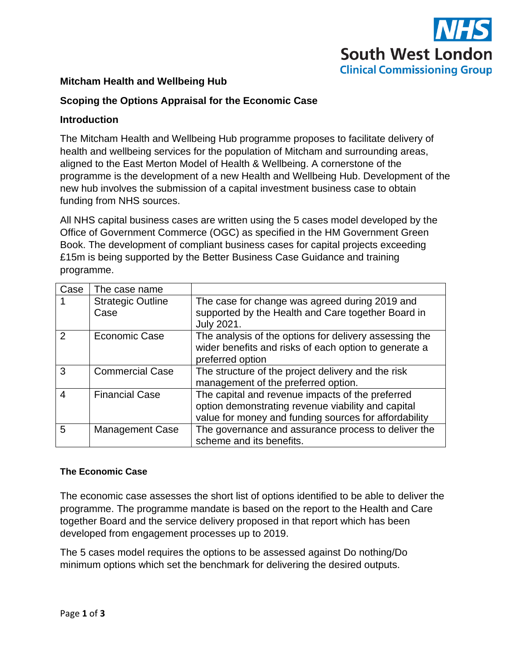

# **Mitcham Health and Wellbeing Hub**

# **Scoping the Options Appraisal for the Economic Case**

### **Introduction**

The Mitcham Health and Wellbeing Hub programme proposes to facilitate delivery of health and wellbeing services for the population of Mitcham and surrounding areas, aligned to the East Merton Model of Health & Wellbeing. A cornerstone of the programme is the development of a new Health and Wellbeing Hub. Development of the new hub involves the submission of a capital investment business case to obtain funding from NHS sources.

All NHS capital business cases are written using the 5 cases model developed by the Office of Government Commerce (OGC) as specified in the HM Government Green Book. The development of compliant business cases for capital projects exceeding £15m is being supported by the Better Business Case Guidance and training programme.

| Case          | The case name                    |                                                                                                                                                                 |
|---------------|----------------------------------|-----------------------------------------------------------------------------------------------------------------------------------------------------------------|
|               | <b>Strategic Outline</b><br>Case | The case for change was agreed during 2019 and<br>supported by the Health and Care together Board in<br><b>July 2021.</b>                                       |
| $\mathcal{P}$ | Economic Case                    | The analysis of the options for delivery assessing the<br>wider benefits and risks of each option to generate a<br>preferred option                             |
| 3             | <b>Commercial Case</b>           | The structure of the project delivery and the risk<br>management of the preferred option.                                                                       |
| 4             | <b>Financial Case</b>            | The capital and revenue impacts of the preferred<br>option demonstrating revenue viability and capital<br>value for money and funding sources for affordability |
| 5             | <b>Management Case</b>           | The governance and assurance process to deliver the<br>scheme and its benefits.                                                                                 |

### **The Economic Case**

The economic case assesses the short list of options identified to be able to deliver the programme. The programme mandate is based on the report to the Health and Care together Board and the service delivery proposed in that report which has been developed from engagement processes up to 2019.

The 5 cases model requires the options to be assessed against Do nothing/Do minimum options which set the benchmark for delivering the desired outputs.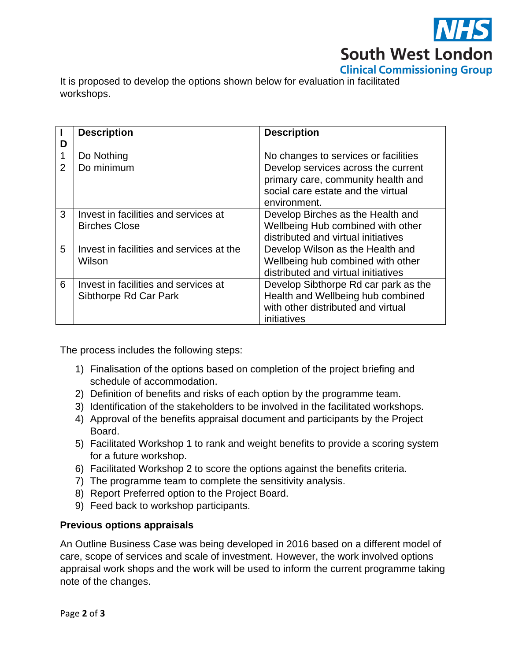

It is proposed to develop the options shown below for evaluation in facilitated workshops.

|                | <b>Description</b>                                            | <b>Description</b>                                                                                                              |
|----------------|---------------------------------------------------------------|---------------------------------------------------------------------------------------------------------------------------------|
| D              |                                                               |                                                                                                                                 |
| 1              | Do Nothing                                                    | No changes to services or facilities                                                                                            |
| $\overline{2}$ | Do minimum                                                    | Develop services across the current<br>primary care, community health and<br>social care estate and the virtual<br>environment. |
| 3              | Invest in facilities and services at<br><b>Birches Close</b>  | Develop Birches as the Health and<br>Wellbeing Hub combined with other<br>distributed and virtual initiatives                   |
| 5              | Invest in facilities and services at the<br>Wilson            | Develop Wilson as the Health and<br>Wellbeing hub combined with other<br>distributed and virtual initiatives                    |
| 6              | Invest in facilities and services at<br>Sibthorpe Rd Car Park | Develop Sibthorpe Rd car park as the<br>Health and Wellbeing hub combined<br>with other distributed and virtual<br>initiatives  |

The process includes the following steps:

- 1) Finalisation of the options based on completion of the project briefing and schedule of accommodation.
- 2) Definition of benefits and risks of each option by the programme team.
- 3) Identification of the stakeholders to be involved in the facilitated workshops.
- 4) Approval of the benefits appraisal document and participants by the Project Board.
- 5) Facilitated Workshop 1 to rank and weight benefits to provide a scoring system for a future workshop.
- 6) Facilitated Workshop 2 to score the options against the benefits criteria.
- 7) The programme team to complete the sensitivity analysis.
- 8) Report Preferred option to the Project Board.
- 9) Feed back to workshop participants.

# **Previous options appraisals**

An Outline Business Case was being developed in 2016 based on a different model of care, scope of services and scale of investment. However, the work involved options appraisal work shops and the work will be used to inform the current programme taking note of the changes.